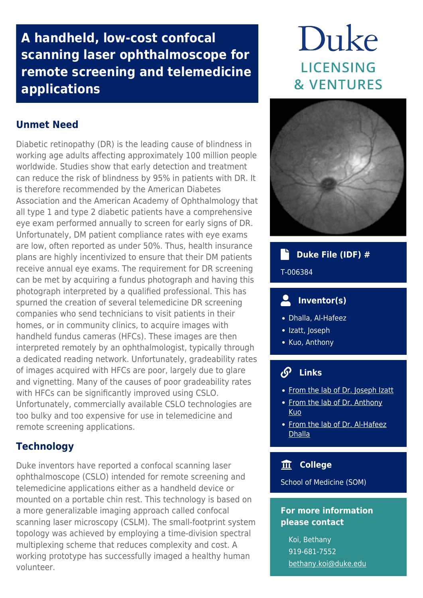## **A handheld, low-cost confocal scanning laser ophthalmoscope for remote screening and telemedicine applications**

### **Unmet Need**

Diabetic retinopathy (DR) is the leading cause of blindness in working age adults affecting approximately 100 million people worldwide. Studies show that early detection and treatment can reduce the risk of blindness by 95% in patients with DR. It is therefore recommended by the American Diabetes Association and the American Academy of Ophthalmology that all type 1 and type 2 diabetic patients have a comprehensive eye exam performed annually to screen for early signs of DR. Unfortunately, DM patient compliance rates with eye exams are low, often reported as under 50%. Thus, health insurance plans are highly incentivized to ensure that their DM patients receive annual eye exams. The requirement for DR screening can be met by acquiring a fundus photograph and having this photograph interpreted by a qualified professional. This has spurned the creation of several telemedicine DR screening companies who send technicians to visit patients in their homes, or in community clinics, to acquire images with handheld fundus cameras (HFCs). These images are then interpreted remotely by an ophthalmologist, typically through a dedicated reading network. Unfortunately, gradeability rates of images acquired with HFCs are poor, largely due to glare and vignetting. Many of the causes of poor gradeability rates with HFCs can be significantly improved using CSLO. Unfortunately, commercially available CSLO technologies are too bulky and too expensive for use in telemedicine and remote screening applications.

### **Technology**

Duke inventors have reported a confocal scanning laser ophthalmoscope (CSLO) intended for remote screening and telemedicine applications either as a handheld device or mounted on a portable chin rest. This technology is based on a more generalizable imaging approach called confocal scanning laser microscopy (CSLM). The small-footprint system topology was achieved by employing a time-division spectral multiplexing scheme that reduces complexity and cost. A working prototype has successfully imaged a healthy human volunteer.

# Duke **LICENSING & VENTURES**



### **Duke File (IDF) #**

T-006384

### **Inventor(s)**

- Dhalla, Al-Hafeez
- Izatt, Joseph
- Kuo, Anthony

#### $\mathcal{S}$  **Links**

- [From the lab of Dr. Joseph Izatt](https://bme.duke.edu/faculty/joseph-izatt)
- [From the lab of Dr. Anthony](https://bme.duke.edu/faculty/anthony-kuo) [Kuo](https://bme.duke.edu/faculty/anthony-kuo)
- [From the lab of Dr. Al-Hafeez](https://bme.duke.edu/faculty/al-hafeez-dhalla) **[Dhalla](https://bme.duke.edu/faculty/al-hafeez-dhalla)**

### **College**

School of Medicine (SOM)

### **For more information please contact**

Koi, Bethany 919-681-7552 [bethany.koi@duke.edu](mailto:bethany.koi@duke.edu)